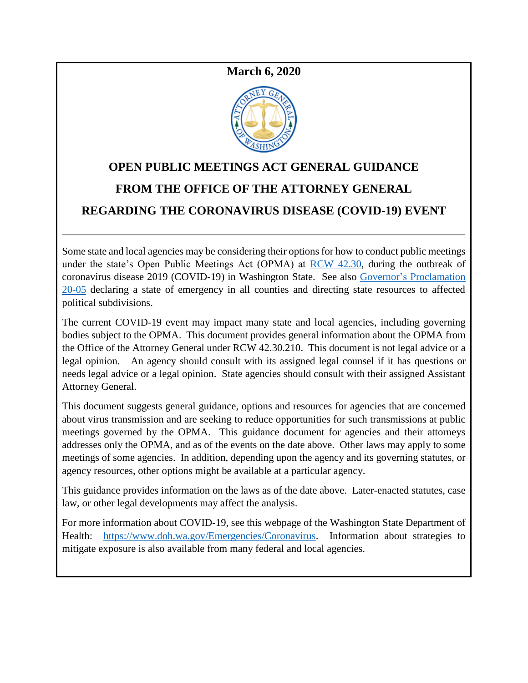# **March 6, 2020**



# **OPEN PUBLIC MEETINGS ACT GENERAL GUIDANCE FROM THE OFFICE OF THE ATTORNEY GENERAL REGARDING THE CORONAVIRUS DISEASE (COVID-19) EVENT**

Some state and local agencies may be considering their options for how to conduct public meetings under the state's Open Public Meetings Act (OPMA) at [RCW 42.30,](https://app.leg.wa.gov/RCW/default.aspx?cite=42.30) during the outbreak of coronavirus disease 2019 (COVID-19) in Washington State. See also [Governor's Proclamation](https://www.governor.wa.gov/sites/default/files/20-05%20Coronavirus%20%28final%29.pdf)  [20-05](https://www.governor.wa.gov/sites/default/files/20-05%20Coronavirus%20%28final%29.pdf) declaring a state of emergency in all counties and directing state resources to affected political subdivisions.

The current COVID-19 event may impact many state and local agencies, including governing bodies subject to the OPMA. This document provides general information about the OPMA from the Office of the Attorney General under RCW 42.30.210. This document is not legal advice or a legal opinion. An agency should consult with its assigned legal counsel if it has questions or needs legal advice or a legal opinion. State agencies should consult with their assigned Assistant Attorney General.

This document suggests general guidance, options and resources for agencies that are concerned about virus transmission and are seeking to reduce opportunities for such transmissions at public meetings governed by the OPMA. This guidance document for agencies and their attorneys addresses only the OPMA, and as of the events on the date above. Other laws may apply to some meetings of some agencies. In addition, depending upon the agency and its governing statutes, or agency resources, other options might be available at a particular agency.

This guidance provides information on the laws as of the date above. Later-enacted statutes, case law, or other legal developments may affect the analysis.

For more information about COVID-19, see this webpage of the Washington State Department of Health: [https://www.doh.wa.gov/Emergencies/Coronavirus.](https://www.doh.wa.gov/Emergencies/Coronavirus) Information about strategies to mitigate exposure is also available from many federal and local agencies.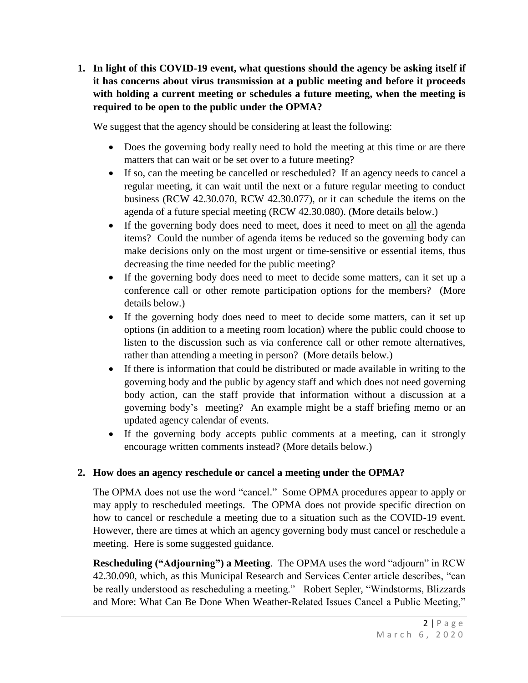**1. In light of this COVID-19 event, what questions should the agency be asking itself if it has concerns about virus transmission at a public meeting and before it proceeds with holding a current meeting or schedules a future meeting, when the meeting is required to be open to the public under the OPMA?**

We suggest that the agency should be considering at least the following:

- Does the governing body really need to hold the meeting at this time or are there matters that can wait or be set over to a future meeting?
- If so, can the meeting be cancelled or rescheduled? If an agency needs to cancel a regular meeting, it can wait until the next or a future regular meeting to conduct business (RCW 42.30.070, RCW 42.30.077), or it can schedule the items on the agenda of a future special meeting (RCW 42.30.080). (More details below.)
- If the governing body does need to meet, does it need to meet on all the agenda items? Could the number of agenda items be reduced so the governing body can make decisions only on the most urgent or time-sensitive or essential items, thus decreasing the time needed for the public meeting?
- If the governing body does need to meet to decide some matters, can it set up a conference call or other remote participation options for the members? (More details below.)
- If the governing body does need to meet to decide some matters, can it set up options (in addition to a meeting room location) where the public could choose to listen to the discussion such as via conference call or other remote alternatives, rather than attending a meeting in person? (More details below.)
- If there is information that could be distributed or made available in writing to the governing body and the public by agency staff and which does not need governing body action, can the staff provide that information without a discussion at a governing body's meeting? An example might be a staff briefing memo or an updated agency calendar of events.
- If the governing body accepts public comments at a meeting, can it strongly encourage written comments instead? (More details below.)

## **2. How does an agency reschedule or cancel a meeting under the OPMA?**

The OPMA does not use the word "cancel." Some OPMA procedures appear to apply or may apply to rescheduled meetings. The OPMA does not provide specific direction on how to cancel or reschedule a meeting due to a situation such as the COVID-19 event. However, there are times at which an agency governing body must cancel or reschedule a meeting. Here is some suggested guidance.

**Rescheduling ("Adjourning") a Meeting**. The OPMA uses the word "adjourn" in RCW 42.30.090, which, as this Municipal Research and Services Center article describes, "can be really understood as rescheduling a meeting." Robert Sepler, "Windstorms, Blizzards and More: What Can Be Done When Weather-Related Issues Cancel a Public Meeting,"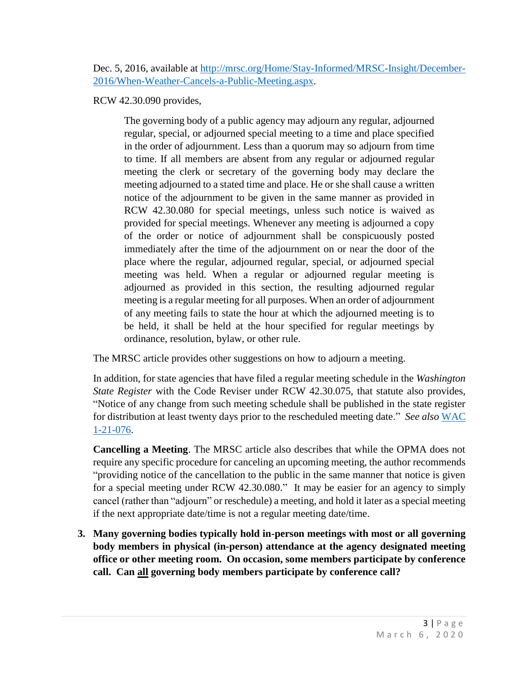Dec. 5, 2016, available at [http://mrsc.org/Home/Stay-Informed/MRSC-Insight/December-](http://mrsc.org/Home/Stay-Informed/MRSC-Insight/December-2016/When-Weather-Cancels-a-Public-Meeting.aspx)[2016/When-Weather-Cancels-a-Public-Meeting.aspx.](http://mrsc.org/Home/Stay-Informed/MRSC-Insight/December-2016/When-Weather-Cancels-a-Public-Meeting.aspx)

RCW 42.30.090 provides,

The governing body of a public agency may adjourn any regular, adjourned regular, special, or adjourned special meeting to a time and place specified in the order of adjournment. Less than a quorum may so adjourn from time to time. If all members are absent from any regular or adjourned regular meeting the clerk or secretary of the governing body may declare the meeting adjourned to a stated time and place. He or she shall cause a written notice of the adjournment to be given in the same manner as provided in RCW 42.30.080 for special meetings, unless such notice is waived as provided for special meetings. Whenever any meeting is adjourned a copy of the order or notice of adjournment shall be conspicuously posted immediately after the time of the adjournment on or near the door of the place where the regular, adjourned regular, special, or adjourned special meeting was held. When a regular or adjourned regular meeting is adjourned as provided in this section, the resulting adjourned regular meeting is a regular meeting for all purposes. When an order of adjournment of any meeting fails to state the hour at which the adjourned meeting is to be held, it shall be held at the hour specified for regular meetings by ordinance, resolution, bylaw, or other rule.

The MRSC article provides other suggestions on how to adjourn a meeting.

In addition, for state agencies that have filed a regular meeting schedule in the *Washington State Register* with the Code Reviser under RCW 42.30.075, that statute also provides, "Notice of any change from such meeting schedule shall be published in the state register for distribution at least twenty days prior to the rescheduled meeting date." *See also* [WAC](https://apps.leg.wa.gov/wac/default.aspx?cite=1-21-076)  [1-21-076.](https://apps.leg.wa.gov/wac/default.aspx?cite=1-21-076)

**Cancelling a Meeting**. The MRSC article also describes that while the OPMA does not require any specific procedure for canceling an upcoming meeting, the author recommends "providing notice of the cancellation to the public in the same manner that notice is given for a special meeting under RCW 42.30.080." It may be easier for an agency to simply cancel (rather than "adjourn" or reschedule) a meeting, and hold it later as a special meeting if the next appropriate date/time is not a regular meeting date/time.

**3. Many governing bodies typically hold in-person meetings with most or all governing body members in physical (in-person) attendance at the agency designated meeting office or other meeting room. On occasion, some members participate by conference call. Can all governing body members participate by conference call?**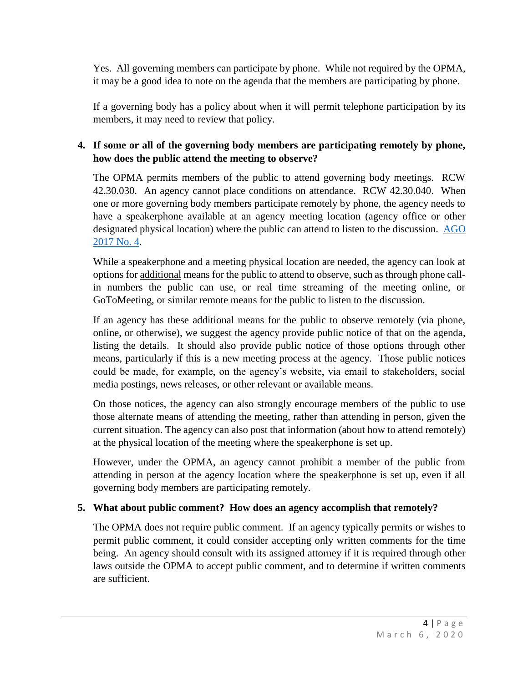Yes. All governing members can participate by phone. While not required by the OPMA, it may be a good idea to note on the agenda that the members are participating by phone.

If a governing body has a policy about when it will permit telephone participation by its members, it may need to review that policy.

# **4. If some or all of the governing body members are participating remotely by phone, how does the public attend the meeting to observe?**

The OPMA permits members of the public to attend governing body meetings. RCW 42.30.030. An agency cannot place conditions on attendance. RCW 42.30.040. When one or more governing body members participate remotely by phone, the agency needs to have a speakerphone available at an agency meeting location (agency office or other designated physical location) where the public can attend to listen to the discussion. [AGO](https://www.atg.wa.gov/ago-opinions/legislative-authority-combine-commission-salaries-elected-officials-another-agency-and)  [2017 No. 4.](https://www.atg.wa.gov/ago-opinions/legislative-authority-combine-commission-salaries-elected-officials-another-agency-and)

While a speakerphone and a meeting physical location are needed, the agency can look at options for additional means for the public to attend to observe, such as through phone callin numbers the public can use, or real time streaming of the meeting online, or GoToMeeting, or similar remote means for the public to listen to the discussion.

If an agency has these additional means for the public to observe remotely (via phone, online, or otherwise), we suggest the agency provide public notice of that on the agenda, listing the details. It should also provide public notice of those options through other means, particularly if this is a new meeting process at the agency. Those public notices could be made, for example, on the agency's website, via email to stakeholders, social media postings, news releases, or other relevant or available means.

On those notices, the agency can also strongly encourage members of the public to use those alternate means of attending the meeting, rather than attending in person, given the current situation. The agency can also post that information (about how to attend remotely) at the physical location of the meeting where the speakerphone is set up.

However, under the OPMA, an agency cannot prohibit a member of the public from attending in person at the agency location where the speakerphone is set up, even if all governing body members are participating remotely.

## **5. What about public comment? How does an agency accomplish that remotely?**

The OPMA does not require public comment. If an agency typically permits or wishes to permit public comment, it could consider accepting only written comments for the time being. An agency should consult with its assigned attorney if it is required through other laws outside the OPMA to accept public comment, and to determine if written comments are sufficient.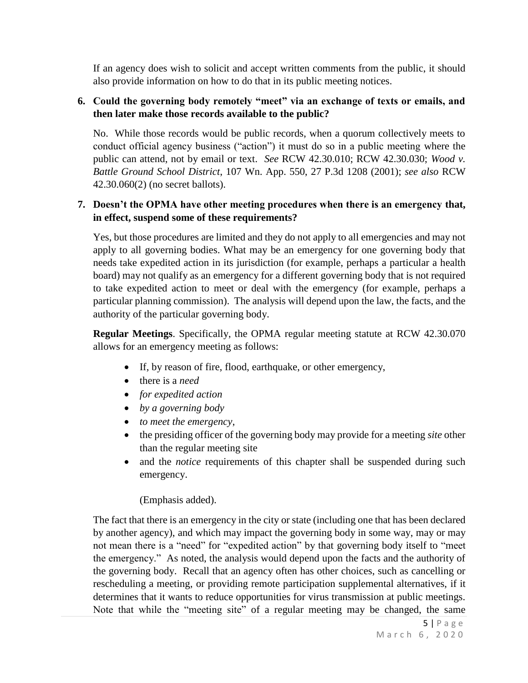If an agency does wish to solicit and accept written comments from the public, it should also provide information on how to do that in its public meeting notices.

#### **6. Could the governing body remotely "meet" via an exchange of texts or emails, and then later make those records available to the public?**

No. While those records would be public records, when a quorum collectively meets to conduct official agency business ("action") it must do so in a public meeting where the public can attend, not by email or text. *See* RCW 42.30.010; RCW 42.30.030; *Wood v. Battle Ground School District*, 107 Wn. App. 550, 27 P.3d 1208 (2001); *see also* RCW 42.30.060(2) (no secret ballots).

#### **7. Doesn't the OPMA have other meeting procedures when there is an emergency that, in effect, suspend some of these requirements?**

Yes, but those procedures are limited and they do not apply to all emergencies and may not apply to all governing bodies. What may be an emergency for one governing body that needs take expedited action in its jurisdiction (for example, perhaps a particular a health board) may not qualify as an emergency for a different governing body that is not required to take expedited action to meet or deal with the emergency (for example, perhaps a particular planning commission). The analysis will depend upon the law, the facts, and the authority of the particular governing body.

**Regular Meetings**. Specifically, the OPMA regular meeting statute at RCW 42.30.070 allows for an emergency meeting as follows:

- If, by reason of fire, flood, earthquake, or other emergency,
- there is a *need*
- *for expedited action*
- *by a governing body*
- *to meet the emergency*,
- the presiding officer of the governing body may provide for a meeting *site* other than the regular meeting site
- and the *notice* requirements of this chapter shall be suspended during such emergency.

(Emphasis added).

The fact that there is an emergency in the city or state (including one that has been declared by another agency), and which may impact the governing body in some way, may or may not mean there is a "need" for "expedited action" by that governing body itself to "meet the emergency." As noted, the analysis would depend upon the facts and the authority of the governing body. Recall that an agency often has other choices, such as cancelling or rescheduling a meeting, or providing remote participation supplemental alternatives, if it determines that it wants to reduce opportunities for virus transmission at public meetings. Note that while the "meeting site" of a regular meeting may be changed, the same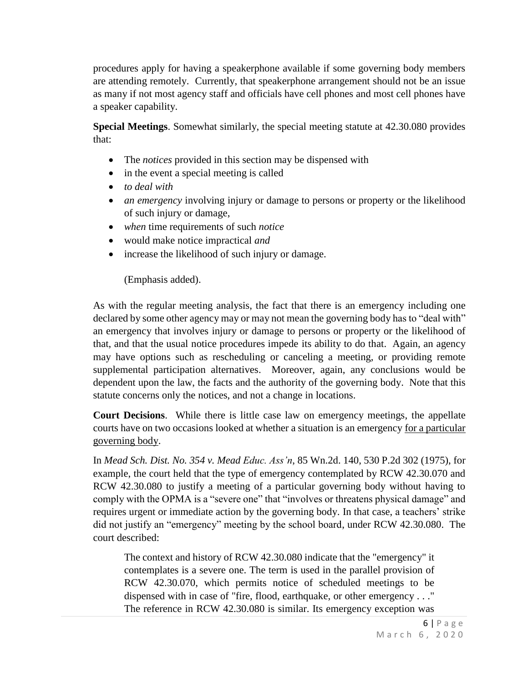procedures apply for having a speakerphone available if some governing body members are attending remotely. Currently, that speakerphone arrangement should not be an issue as many if not most agency staff and officials have cell phones and most cell phones have a speaker capability.

**Special Meetings**. Somewhat similarly, the special meeting statute at 42.30.080 provides that:

- The *notices* provided in this section may be dispensed with
- in the event a special meeting is called
- *to deal with*
- *an emergency* involving injury or damage to persons or property or the likelihood of such injury or damage,
- *when* time requirements of such *notice*
- would make notice impractical *and*
- increase the likelihood of such injury or damage.

(Emphasis added).

As with the regular meeting analysis, the fact that there is an emergency including one declared by some other agency may or may not mean the governing body has to "deal with" an emergency that involves injury or damage to persons or property or the likelihood of that, and that the usual notice procedures impede its ability to do that. Again, an agency may have options such as rescheduling or canceling a meeting, or providing remote supplemental participation alternatives. Moreover, again, any conclusions would be dependent upon the law, the facts and the authority of the governing body. Note that this statute concerns only the notices, and not a change in locations.

**Court Decisions**. While there is little case law on emergency meetings, the appellate courts have on two occasions looked at whether a situation is an emergency for a particular governing body.

In *Mead Sch. Dist. No. 354 v. Mead Educ. Ass'n*, 85 Wn.2d. 140, 530 P.2d 302 (1975), for example, the court held that the type of emergency contemplated by RCW 42.30.070 and RCW 42.30.080 to justify a meeting of a particular governing body without having to comply with the OPMA is a "severe one" that "involves or threatens physical damage" and requires urgent or immediate action by the governing body. In that case, a teachers' strike did not justify an "emergency" meeting by the school board, under RCW 42.30.080. The court described:

The context and history of RCW 42.30.080 indicate that the "emergency" it contemplates is a severe one. The term is used in the parallel provision of RCW 42.30.070, which permits notice of scheduled meetings to be dispensed with in case of "fire, flood, earthquake, or other emergency . . ." The reference in RCW 42.30.080 is similar. Its emergency exception was